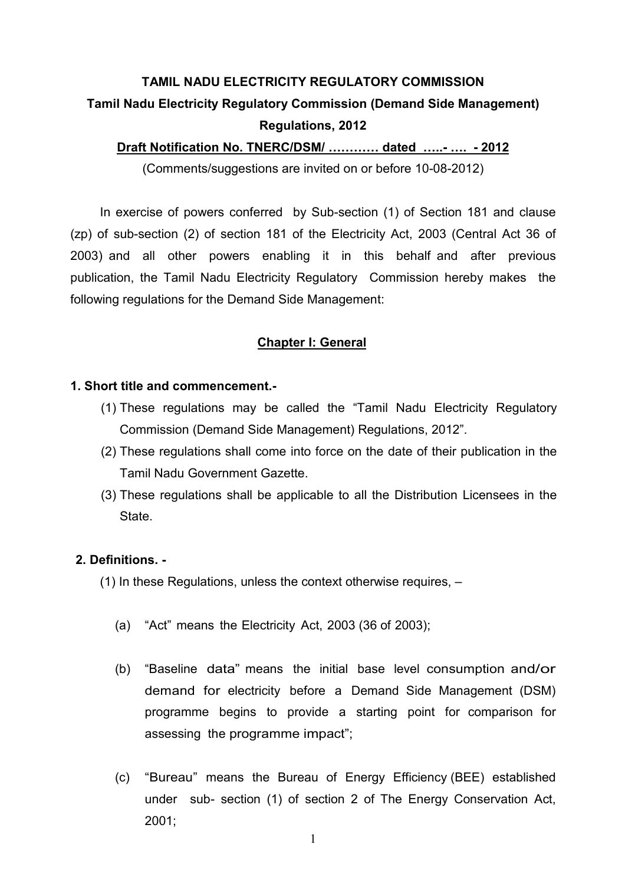# TAMIL NADU ELECTRICITY REGULATORY COMMISSION Tamil Nadu Electricity Regulatory Commission (Demand Side Management) Regulations, 2012

Draft Notification No. TNERC/DSM/ ............ dated .....- .... - 2012

(Comments/suggestions are invited on or before 10-08-2012)

In exercise of powers conferred by Sub-section (1) of Section 181 and clause (zp) of sub-section (2) of section 181 of the Electricity Act, 2003 (Central Act 36 of 2003) and all other powers enabling it in this behalf and after previous publication, the Tamil Nadu Electricity Regulatory Commission hereby makes the following regulations for the Demand Side Management:

# Chapter I: General

## 1. Short title and commencement.-

- (1) These regulations may be called the "Tamil Nadu Electricity Regulatory Commission (Demand Side Management) Regulations, 2012".
- (2) These regulations shall come into force on the date of their publication in the Tamil Nadu Government Gazette.
- (3) These regulations shall be applicable to all the Distribution Licensees in the **State**

### 2. Definitions. -

- (1) In these Regulations, unless the context otherwise requires,
	- (a) "Act" means the Electricity Act, 2003 (36 of 2003);
	- (b) "Baseline data" means the initial base level consumption and/or demand for electricity before a Demand Side Management (DSM) programme begins to provide a starting point for comparison for assessing the programme impact";
	- (c) "Bureau" means the Bureau of Energy Efficiency (BEE) established under sub- section (1) of section 2 of The Energy Conservation Act, 2001;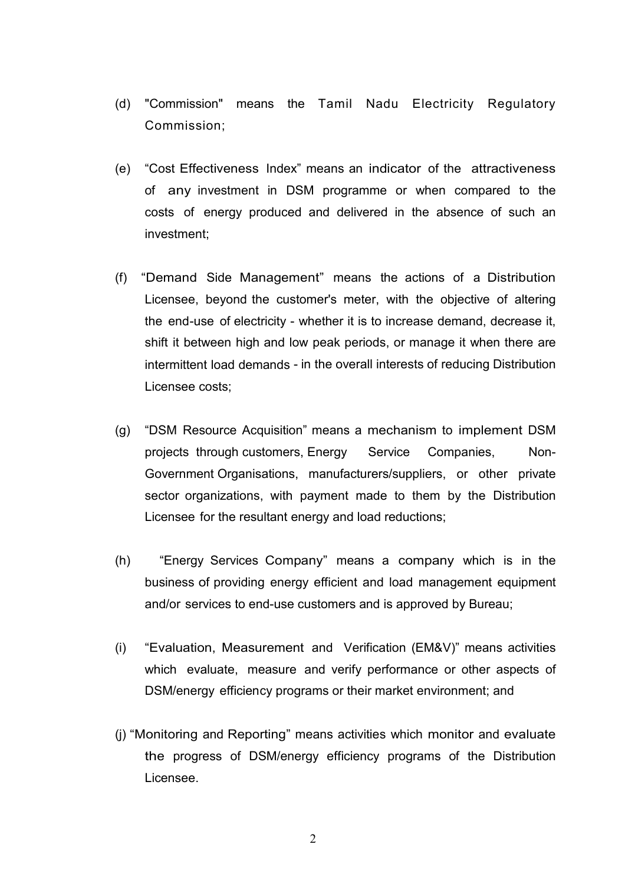- (d) "Commission" means the Tamil Nadu Electricity Regulatory Commission;
- (e) "Cost Effectiveness Index" means an indicator of the attractiveness of any investment in DSM programme or when compared to the costs of energy produced and delivered in the absence of such an investment;
- (f) "Demand Side Management" means the actions of a Distribution Licensee, beyond the customer's meter, with the objective of altering the end-use of electricity - whether it is to increase demand, decrease it, shift it between high and low peak periods, or manage it when there are intermittent load demands - in the overall interests of reducing Distribution Licensee costs;
- (g) "DSM Resource Acquisition" means a mechanism to implement DSM projects through customers, Energy Service Companies, Non-Government Organisations, manufacturers/suppliers, or other private sector organizations, with payment made to them by the Distribution Licensee for the resultant energy and load reductions;
- (h) "Energy Services Company" means a company which is in the business of providing energy efficient and load management equipment and/or services to end-use customers and is approved by Bureau;
- (i) "Evaluation, Measurement and Verification (EM&V)" means activities which evaluate, measure and verify performance or other aspects of DSM/energy efficiency programs or their market environment; and
- (j) "Monitoring and Reporting" means activities which monitor and evaluate the progress of DSM/energy efficiency programs of the Distribution Licensee.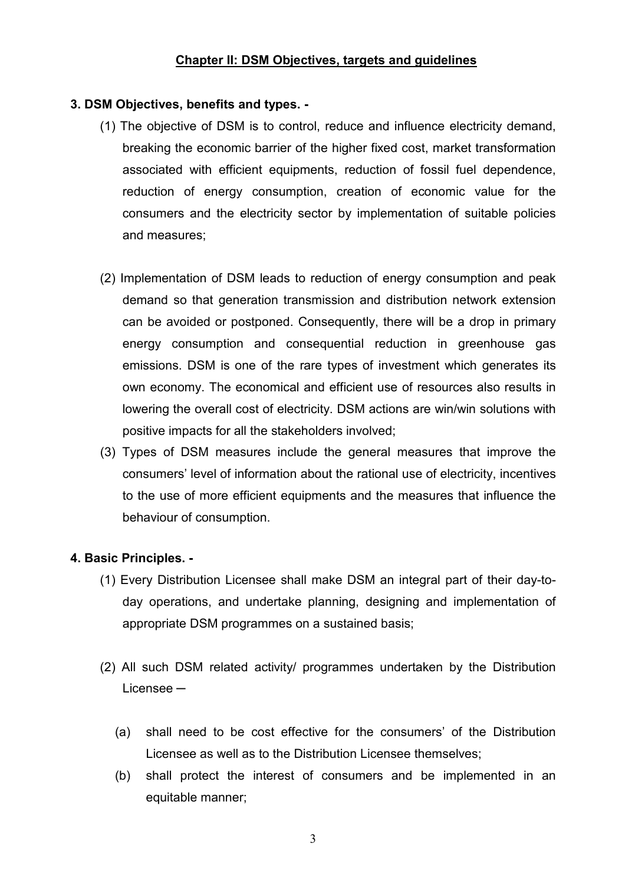# Chapter II: DSM Objectives, targets and guidelines

# 3. DSM Objectives, benefits and types. -

- (1) The objective of DSM is to control, reduce and influence electricity demand, breaking the economic barrier of the higher fixed cost, market transformation associated with efficient equipments, reduction of fossil fuel dependence, reduction of energy consumption, creation of economic value for the consumers and the electricity sector by implementation of suitable policies and measures;
- (2) Implementation of DSM leads to reduction of energy consumption and peak demand so that generation transmission and distribution network extension can be avoided or postponed. Consequently, there will be a drop in primary energy consumption and consequential reduction in greenhouse gas emissions. DSM is one of the rare types of investment which generates its own economy. The economical and efficient use of resources also results in lowering the overall cost of electricity. DSM actions are win/win solutions with positive impacts for all the stakeholders involved;
- (3) Types of DSM measures include the general measures that improve the consumers' level of information about the rational use of electricity, incentives to the use of more efficient equipments and the measures that influence the behaviour of consumption.

# 4. Basic Principles. -

- (1) Every Distribution Licensee shall make DSM an integral part of their day-today operations, and undertake planning, designing and implementation of appropriate DSM programmes on a sustained basis;
- (2) All such DSM related activity/ programmes undertaken by the Distribution Licensee —
	- (a) shall need to be cost effective for the consumers' of the Distribution Licensee as well as to the Distribution Licensee themselves;
	- (b) shall protect the interest of consumers and be implemented in an equitable manner;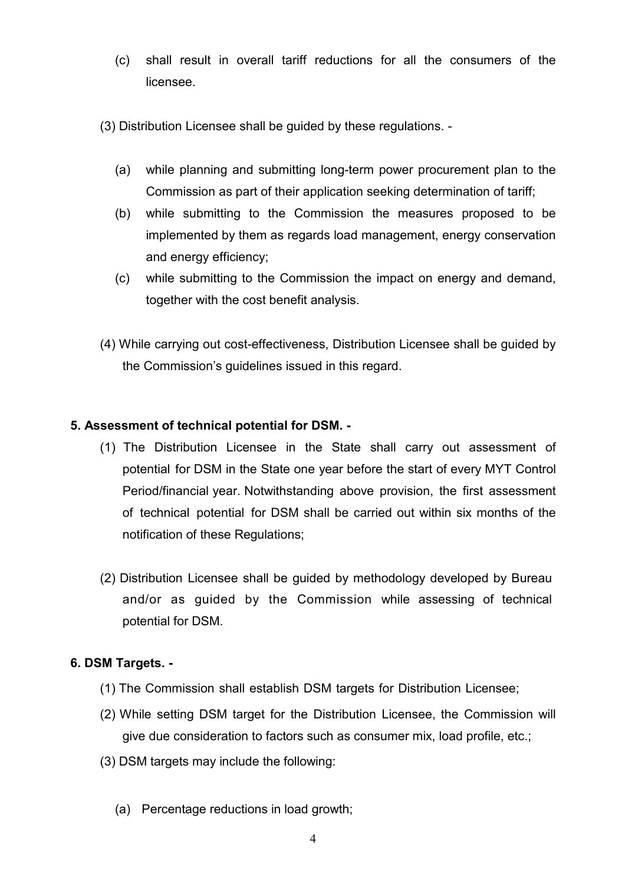- (c) shall result in overall tariff reductions for all the consumers of the licensee.
- (3) Distribution Licensee shall be guided by these regulations.
	- (a) while planning and submitting long-term power procurement plan to the Commission as part of their application seeking determination of tariff;
	- (b) while submitting to the Commission the measures proposed to be implemented by them as regards load management, energy conservation and energy efficiency;
	- (c) while submitting to the Commission the impact on energy and demand, together with the cost benefit analysis.
- (4) While carrying out cost-effectiveness, Distribution Licensee shall be guided by the Commission's guidelines issued in this regard.

# 5. Assessment of technical potential for DSM. -

- (1) The Distribution Licensee in the State shall carry out assessment of potential for DSM in the State one year before the start of every MYT Control Period/financial year. Notwithstanding above provision, the first assessment of technical potential for DSM shall be carried out within six months of the notification of these Regulations;
- (2) Distribution Licensee shall be guided by methodology developed by Bureau and/or as guided by the Commission while assessing of technical potential for DSM.

# 6. DSM Targets. -

- (1) The Commission shall establish DSM targets for Distribution Licensee;
- (2) While setting DSM target for the Distribution Licensee, the Commission will give due consideration to factors such as consumer mix, load profile, etc.;
- (3) DSM targets may include the following:
	- (a) Percentage reductions in load growth;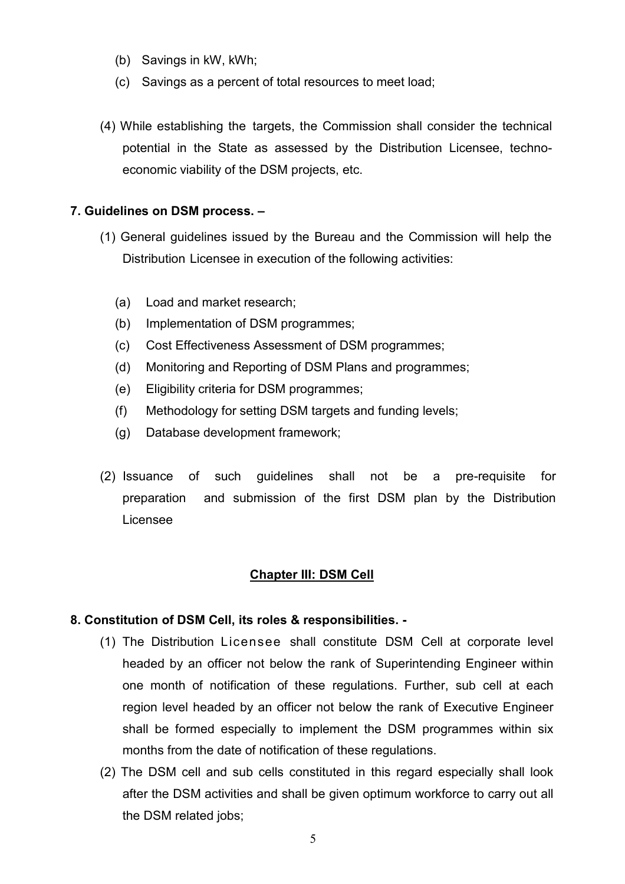- (b) Savings in kW, kWh;
- (c) Savings as a percent of total resources to meet load;
- (4) While establishing the targets, the Commission shall consider the technical potential in the State as assessed by the Distribution Licensee, technoeconomic viability of the DSM projects, etc.

#### 7. Guidelines on DSM process. –

- (1) General guidelines issued by the Bureau and the Commission will help the Distribution Licensee in execution of the following activities:
	- (a) Load and market research;
	- (b) Implementation of DSM programmes;
	- (c) Cost Effectiveness Assessment of DSM programmes;
	- (d) Monitoring and Reporting of DSM Plans and programmes;
	- (e) Eligibility criteria for DSM programmes;
	- (f) Methodology for setting DSM targets and funding levels;
	- (g) Database development framework;
- (2) Issuance of such guidelines shall not be a pre-requisite for preparation and submission of the first DSM plan by the Distribution Licensee

#### Chapter III: DSM Cell

#### 8. Constitution of DSM Cell, its roles & responsibilities. -

- (1) The Distribution Licensee shall constitute DSM Cell at corporate level headed by an officer not below the rank of Superintending Engineer within one month of notification of these regulations. Further, sub cell at each region level headed by an officer not below the rank of Executive Engineer shall be formed especially to implement the DSM programmes within six months from the date of notification of these regulations.
- (2) The DSM cell and sub cells constituted in this regard especially shall look after the DSM activities and shall be given optimum workforce to carry out all the DSM related jobs;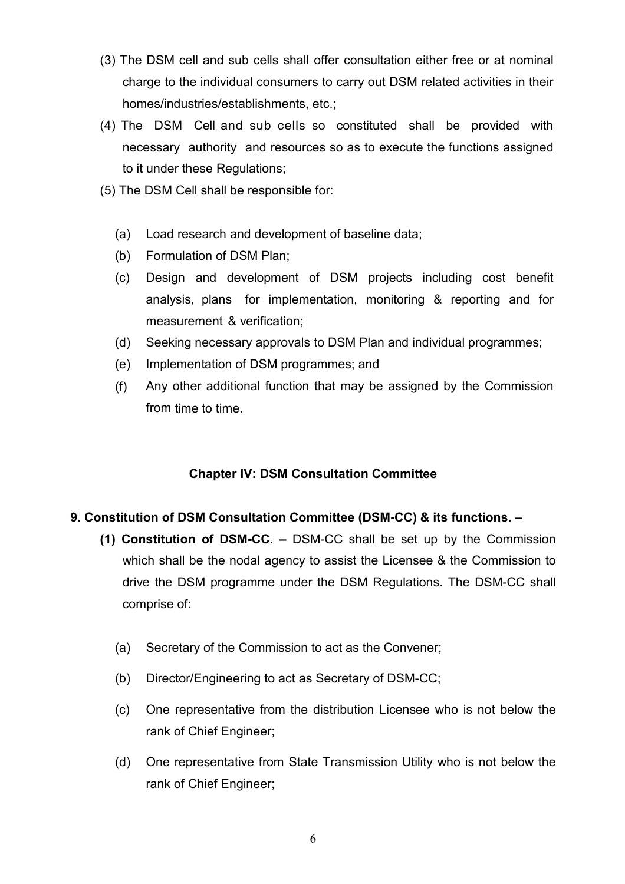- (3) The DSM cell and sub cells shall offer consultation either free or at nominal charge to the individual consumers to carry out DSM related activities in their homes/industries/establishments, etc.;
- (4) The DSM Cell and sub cells so constituted shall be provided with necessary authority and resources so as to execute the functions assigned to it under these Regulations;
- (5) The DSM Cell shall be responsible for:
	- (a) Load research and development of baseline data;
	- (b) Formulation of DSM Plan;
	- (c) Design and development of DSM projects including cost benefit analysis, plans for implementation, monitoring & reporting and for measurement & verification;
	- (d) Seeking necessary approvals to DSM Plan and individual programmes;
	- (e) Implementation of DSM programmes; and
	- (f) Any other additional function that may be assigned by the Commission from time to time.

# Chapter IV: DSM Consultation Committee

# 9. Constitution of DSM Consultation Committee (DSM-CC) & its functions. –

- (1) Constitution of DSM-CC. DSM-CC shall be set up by the Commission which shall be the nodal agency to assist the Licensee & the Commission to drive the DSM programme under the DSM Regulations. The DSM-CC shall comprise of:
	- (a) Secretary of the Commission to act as the Convener;
	- (b) Director/Engineering to act as Secretary of DSM-CC;
	- (c) One representative from the distribution Licensee who is not below the rank of Chief Engineer;
	- (d) One representative from State Transmission Utility who is not below the rank of Chief Engineer;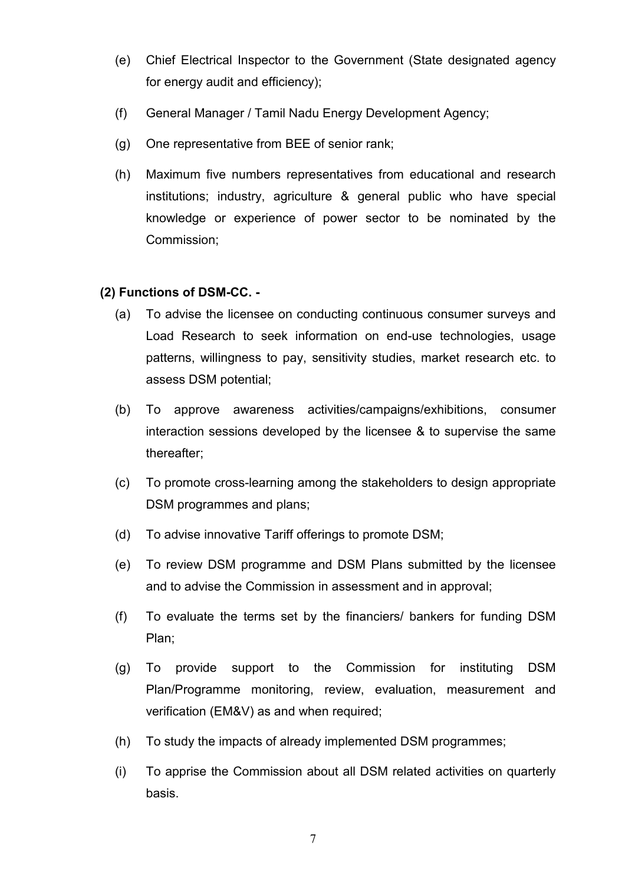- (e) Chief Electrical Inspector to the Government (State designated agency for energy audit and efficiency);
- (f) General Manager / Tamil Nadu Energy Development Agency;
- (g) One representative from BEE of senior rank;
- (h) Maximum five numbers representatives from educational and research institutions; industry, agriculture & general public who have special knowledge or experience of power sector to be nominated by the Commission;

# (2) Functions of DSM-CC. -

- (a) To advise the licensee on conducting continuous consumer surveys and Load Research to seek information on end-use technologies, usage patterns, willingness to pay, sensitivity studies, market research etc. to assess DSM potential;
- (b) To approve awareness activities/campaigns/exhibitions, consumer interaction sessions developed by the licensee & to supervise the same thereafter;
- (c) To promote cross-learning among the stakeholders to design appropriate DSM programmes and plans;
- (d) To advise innovative Tariff offerings to promote DSM;
- (e) To review DSM programme and DSM Plans submitted by the licensee and to advise the Commission in assessment and in approval;
- (f) To evaluate the terms set by the financiers/ bankers for funding DSM Plan;
- (g) To provide support to the Commission for instituting DSM Plan/Programme monitoring, review, evaluation, measurement and verification (EM&V) as and when required;
- (h) To study the impacts of already implemented DSM programmes;
- (i) To apprise the Commission about all DSM related activities on quarterly basis.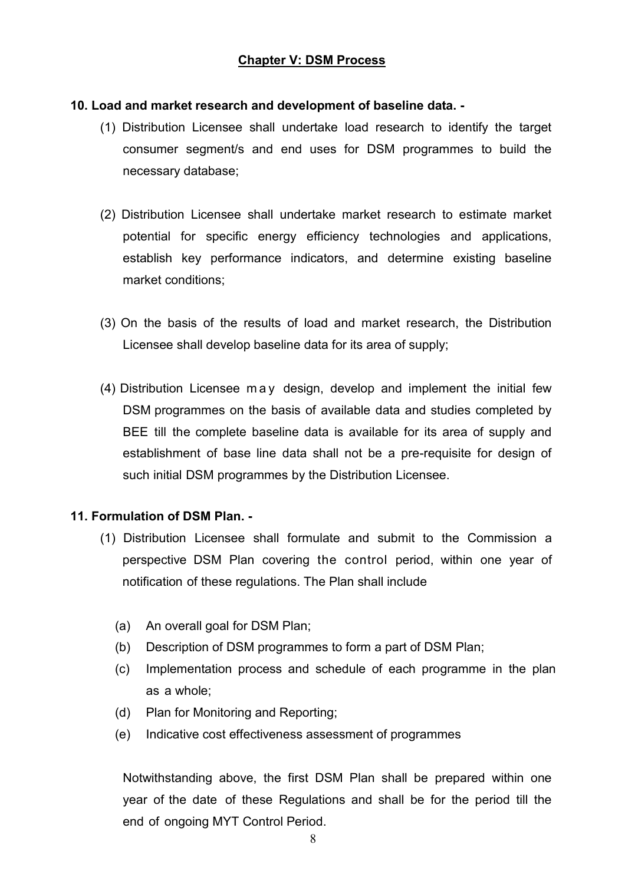# Chapter V: DSM Process

#### 10. Load and market research and development of baseline data. -

- (1) Distribution Licensee shall undertake load research to identify the target consumer segment/s and end uses for DSM programmes to build the necessary database;
- (2) Distribution Licensee shall undertake market research to estimate market potential for specific energy efficiency technologies and applications, establish key performance indicators, and determine existing baseline market conditions;
- (3) On the basis of the results of load and market research, the Distribution Licensee shall develop baseline data for its area of supply;
- (4) Distribution Licensee m a y design, develop and implement the initial few DSM programmes on the basis of available data and studies completed by BEE till the complete baseline data is available for its area of supply and establishment of base line data shall not be a pre-requisite for design of such initial DSM programmes by the Distribution Licensee.

### 11. Formulation of DSM Plan. -

- (1) Distribution Licensee shall formulate and submit to the Commission a perspective DSM Plan covering the control period, within one year of notification of these regulations. The Plan shall include
	- (a) An overall goal for DSM Plan;
	- (b) Description of DSM programmes to form a part of DSM Plan;
	- (c) Implementation process and schedule of each programme in the plan as a whole;
	- (d) Plan for Monitoring and Reporting;
	- (e) Indicative cost effectiveness assessment of programmes

Notwithstanding above, the first DSM Plan shall be prepared within one year of the date of these Regulations and shall be for the period till the end of ongoing MYT Control Period.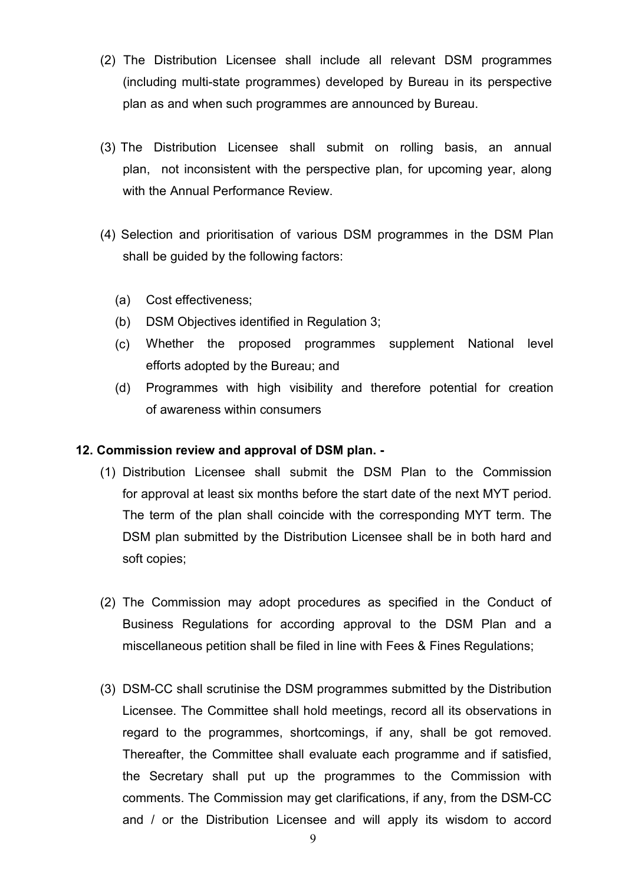- (2) The Distribution Licensee shall include all relevant DSM programmes (including multi-state programmes) developed by Bureau in its perspective plan as and when such programmes are announced by Bureau.
- (3) The Distribution Licensee shall submit on rolling basis, an annual plan, not inconsistent with the perspective plan, for upcoming year, along with the Annual Performance Review.
- (4) Selection and prioritisation of various DSM programmes in the DSM Plan shall be guided by the following factors:
	- (a) Cost effectiveness;
	- (b) DSM Objectives identified in Regulation 3;
	- (c) Whether the proposed programmes supplement National level efforts adopted by the Bureau; and
	- (d) Programmes with high visibility and therefore potential for creation of awareness within consumers

### 12. Commission review and approval of DSM plan. -

- (1) Distribution Licensee shall submit the DSM Plan to the Commission for approval at least six months before the start date of the next MYT period. The term of the plan shall coincide with the corresponding MYT term. The DSM plan submitted by the Distribution Licensee shall be in both hard and soft copies;
- (2) The Commission may adopt procedures as specified in the Conduct of Business Regulations for according approval to the DSM Plan and a miscellaneous petition shall be filed in line with Fees & Fines Regulations;
- (3) DSM-CC shall scrutinise the DSM programmes submitted by the Distribution Licensee. The Committee shall hold meetings, record all its observations in regard to the programmes, shortcomings, if any, shall be got removed. Thereafter, the Committee shall evaluate each programme and if satisfied, the Secretary shall put up the programmes to the Commission with comments. The Commission may get clarifications, if any, from the DSM-CC and / or the Distribution Licensee and will apply its wisdom to accord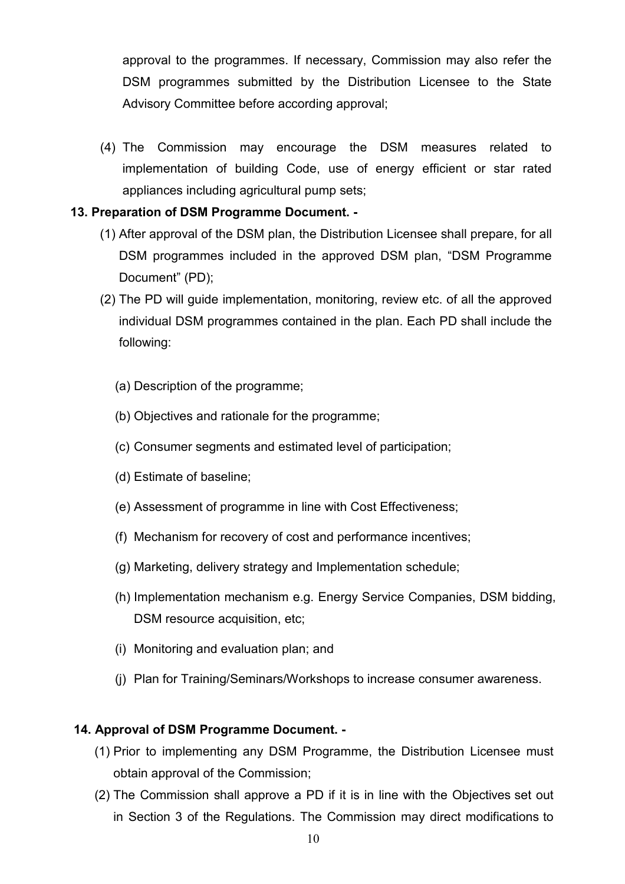approval to the programmes. If necessary, Commission may also refer the DSM programmes submitted by the Distribution Licensee to the State Advisory Committee before according approval;

(4) The Commission may encourage the DSM measures related to implementation of building Code, use of energy efficient or star rated appliances including agricultural pump sets;

# 13. Preparation of DSM Programme Document. -

- (1) After approval of the DSM plan, the Distribution Licensee shall prepare, for all DSM programmes included in the approved DSM plan, "DSM Programme Document" (PD);
- (2) The PD will guide implementation, monitoring, review etc. of all the approved individual DSM programmes contained in the plan. Each PD shall include the following:
	- (a) Description of the programme;
	- (b) Objectives and rationale for the programme;
	- (c) Consumer segments and estimated level of participation;
	- (d) Estimate of baseline;
	- (e) Assessment of programme in line with Cost Effectiveness;
	- (f) Mechanism for recovery of cost and performance incentives;
	- (g) Marketing, delivery strategy and Implementation schedule;
	- (h) Implementation mechanism e.g. Energy Service Companies, DSM bidding, DSM resource acquisition, etc;
	- (i) Monitoring and evaluation plan; and
	- (j) Plan for Training/Seminars/Workshops to increase consumer awareness.

### 14. Approval of DSM Programme Document. -

- (1) Prior to implementing any DSM Programme, the Distribution Licensee must obtain approval of the Commission;
- (2) The Commission shall approve a PD if it is in line with the Objectives set out in Section 3 of the Regulations. The Commission may direct modifications to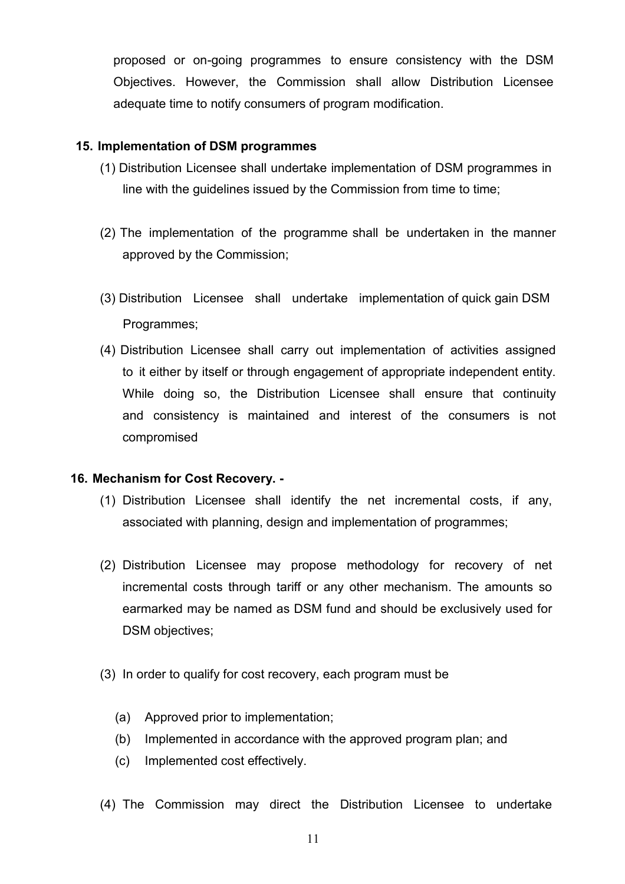proposed or on-going programmes to ensure consistency with the DSM Objectives. However, the Commission shall allow Distribution Licensee adequate time to notify consumers of program modification.

## 15. Implementation of DSM programmes

- (1) Distribution Licensee shall undertake implementation of DSM programmes in line with the guidelines issued by the Commission from time to time;
- (2) The implementation of the programme shall be undertaken in the manner approved by the Commission;
- (3) Distribution Licensee shall undertake implementation of quick gain DSM Programmes;
- (4) Distribution Licensee shall carry out implementation of activities assigned to it either by itself or through engagement of appropriate independent entity. While doing so, the Distribution Licensee shall ensure that continuity and consistency is maintained and interest of the consumers is not compromised

### 16. Mechanism for Cost Recovery. -

- (1) Distribution Licensee shall identify the net incremental costs, if any, associated with planning, design and implementation of programmes;
- (2) Distribution Licensee may propose methodology for recovery of net incremental costs through tariff or any other mechanism. The amounts so earmarked may be named as DSM fund and should be exclusively used for DSM objectives;
- (3) In order to qualify for cost recovery, each program must be
	- (a) Approved prior to implementation;
	- (b) Implemented in accordance with the approved program plan; and
	- (c) Implemented cost effectively.
- (4) The Commission may direct the Distribution Licensee to undertake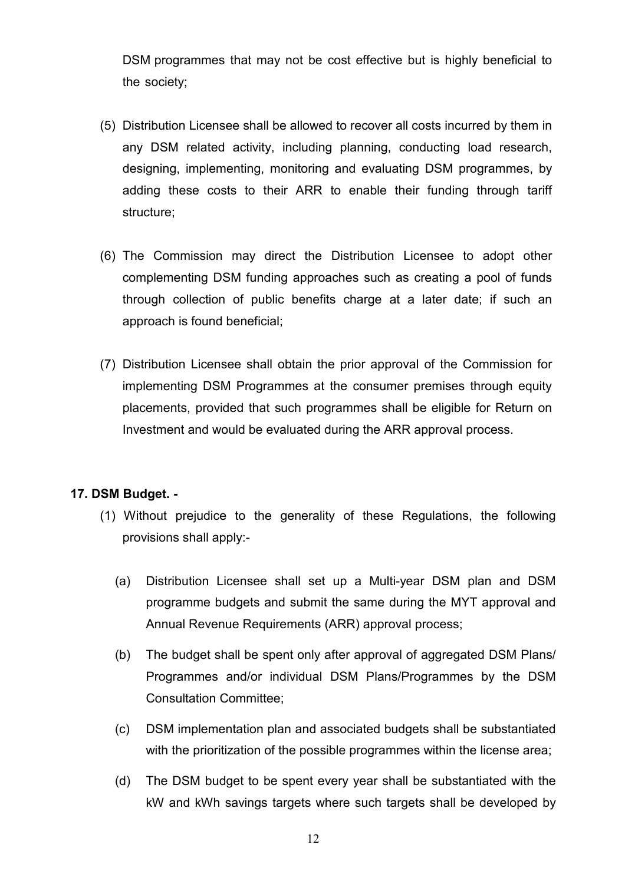DSM programmes that may not be cost effective but is highly beneficial to the society;

- (5) Distribution Licensee shall be allowed to recover all costs incurred by them in any DSM related activity, including planning, conducting load research, designing, implementing, monitoring and evaluating DSM programmes, by adding these costs to their ARR to enable their funding through tariff structure;
- (6) The Commission may direct the Distribution Licensee to adopt other complementing DSM funding approaches such as creating a pool of funds through collection of public benefits charge at a later date; if such an approach is found beneficial;
- (7) Distribution Licensee shall obtain the prior approval of the Commission for implementing DSM Programmes at the consumer premises through equity placements, provided that such programmes shall be eligible for Return on Investment and would be evaluated during the ARR approval process.

### 17. DSM Budget. -

- (1) Without prejudice to the generality of these Regulations, the following provisions shall apply:-
	- (a) Distribution Licensee shall set up a Multi-year DSM plan and DSM programme budgets and submit the same during the MYT approval and Annual Revenue Requirements (ARR) approval process;
	- (b) The budget shall be spent only after approval of aggregated DSM Plans/ Programmes and/or individual DSM Plans/Programmes by the DSM Consultation Committee;
	- (c) DSM implementation plan and associated budgets shall be substantiated with the prioritization of the possible programmes within the license area;
	- (d) The DSM budget to be spent every year shall be substantiated with the kW and kWh savings targets where such targets shall be developed by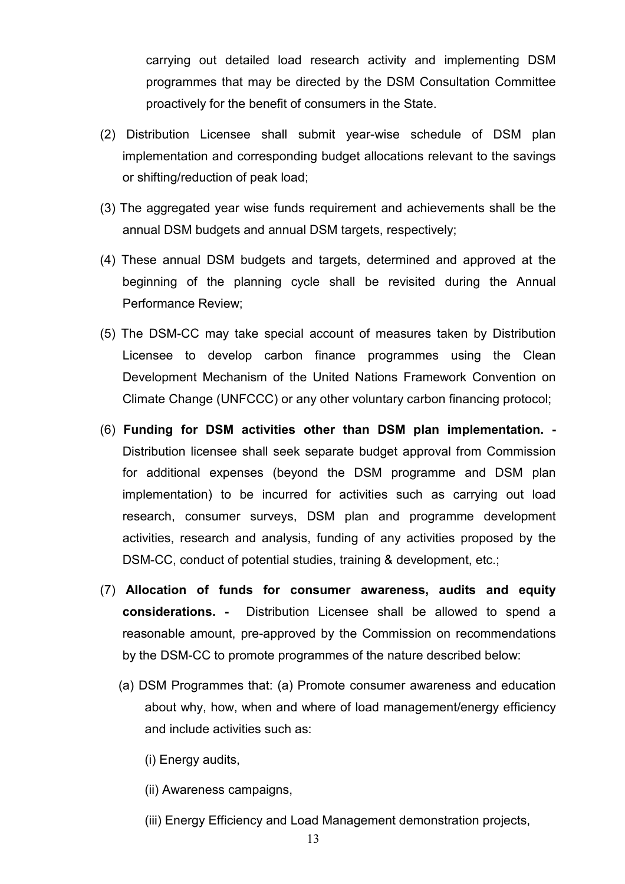carrying out detailed load research activity and implementing DSM programmes that may be directed by the DSM Consultation Committee proactively for the benefit of consumers in the State.

- (2) Distribution Licensee shall submit year-wise schedule of DSM plan implementation and corresponding budget allocations relevant to the savings or shifting/reduction of peak load;
- (3) The aggregated year wise funds requirement and achievements shall be the annual DSM budgets and annual DSM targets, respectively;
- (4) These annual DSM budgets and targets, determined and approved at the beginning of the planning cycle shall be revisited during the Annual Performance Review;
- (5) The DSM-CC may take special account of measures taken by Distribution Licensee to develop carbon finance programmes using the Clean Development Mechanism of the United Nations Framework Convention on Climate Change (UNFCCC) or any other voluntary carbon financing protocol;
- (6) Funding for DSM activities other than DSM plan implementation. Distribution licensee shall seek separate budget approval from Commission for additional expenses (beyond the DSM programme and DSM plan implementation) to be incurred for activities such as carrying out load research, consumer surveys, DSM plan and programme development activities, research and analysis, funding of any activities proposed by the DSM-CC, conduct of potential studies, training & development, etc.;
- (7) Allocation of funds for consumer awareness, audits and equity considerations. - Distribution Licensee shall be allowed to spend a reasonable amount, pre-approved by the Commission on recommendations by the DSM-CC to promote programmes of the nature described below:
	- (a) DSM Programmes that: (a) Promote consumer awareness and education about why, how, when and where of load management/energy efficiency and include activities such as:
		- (i) Energy audits,
		- (ii) Awareness campaigns,
		- (iii) Energy Efficiency and Load Management demonstration projects,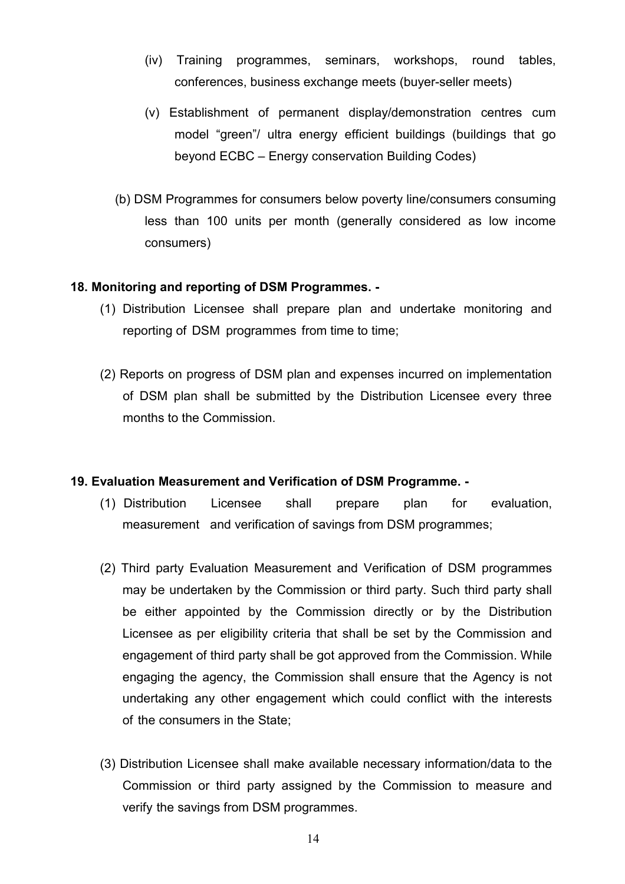- (iv) Training programmes, seminars, workshops, round tables, conferences, business exchange meets (buyer-seller meets)
- (v) Establishment of permanent display/demonstration centres cum model "green"/ ultra energy efficient buildings (buildings that go beyond ECBC – Energy conservation Building Codes)
- (b) DSM Programmes for consumers below poverty line/consumers consuming less than 100 units per month (generally considered as low income consumers)

### 18. Monitoring and reporting of DSM Programmes. -

- (1) Distribution Licensee shall prepare plan and undertake monitoring and reporting of DSM programmes from time to time;
- (2) Reports on progress of DSM plan and expenses incurred on implementation of DSM plan shall be submitted by the Distribution Licensee every three months to the Commission.

### 19. Evaluation Measurement and Verification of DSM Programme. -

- (1) Distribution Licensee shall prepare plan for evaluation, measurement and verification of savings from DSM programmes;
- (2) Third party Evaluation Measurement and Verification of DSM programmes may be undertaken by the Commission or third party. Such third party shall be either appointed by the Commission directly or by the Distribution Licensee as per eligibility criteria that shall be set by the Commission and engagement of third party shall be got approved from the Commission. While engaging the agency, the Commission shall ensure that the Agency is not undertaking any other engagement which could conflict with the interests of the consumers in the State;
- (3) Distribution Licensee shall make available necessary information/data to the Commission or third party assigned by the Commission to measure and verify the savings from DSM programmes.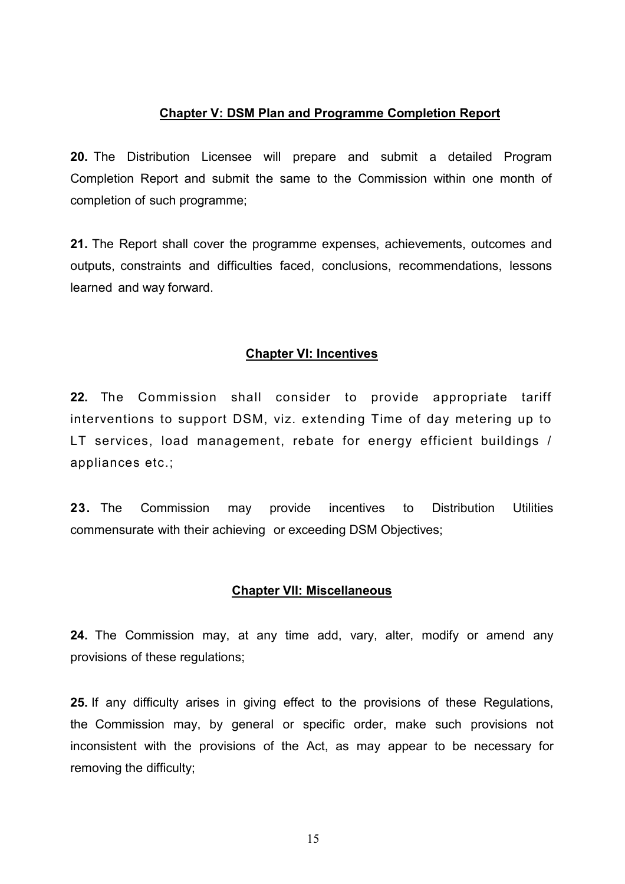#### Chapter V: DSM Plan and Programme Completion Report

20. The Distribution Licensee will prepare and submit a detailed Program Completion Report and submit the same to the Commission within one month of completion of such programme;

21. The Report shall cover the programme expenses, achievements, outcomes and outputs, constraints and difficulties faced, conclusions, recommendations, lessons learned and way forward.

#### Chapter VI: Incentives

22. The Commission shall consider to provide appropriate tariff interventions to support DSM, viz. extending Time of day metering up to LT services, load management, rebate for energy efficient buildings / appliances etc.;

23. The Commission may provide incentives to Distribution Utilities commensurate with their achieving or exceeding DSM Objectives;

#### Chapter VII: Miscellaneous

24. The Commission may, at any time add, vary, alter, modify or amend any provisions of these regulations;

25. If any difficulty arises in giving effect to the provisions of these Regulations, the Commission may, by general or specific order, make such provisions not inconsistent with the provisions of the Act, as may appear to be necessary for removing the difficulty;

15